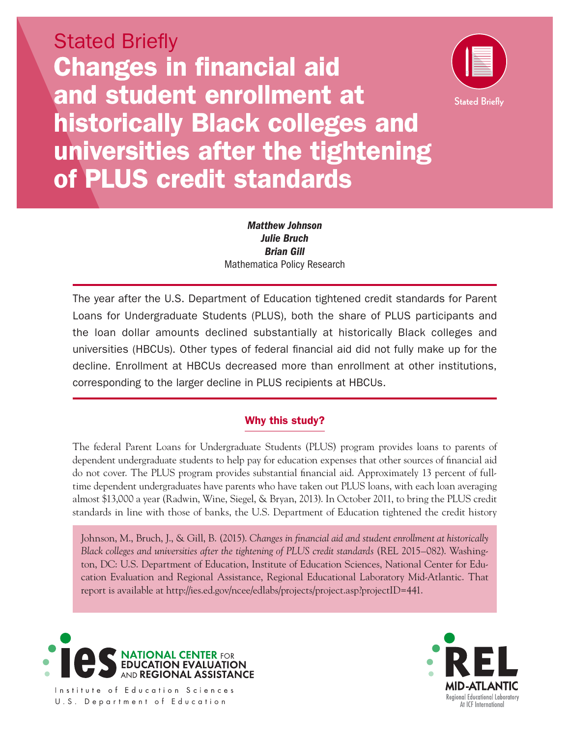



*Matthew Johnson Julie Bruch Brian Gill* Mathematica Policy Research

 the loan dollar amounts declined substantially at historically Black colleges and The year after the U.S. Department of Education tightened credit standards for Parent Loans for Undergraduate Students (PLUS), both the share of PLUS participants and universities (HBCUs). Other types of federal financial aid did not fully make up for the decline. Enrollment at HBCUs decreased more than enrollment at other institutions, corresponding to the larger decline in PLUS recipients at HBCUs.

# Why this study?

The federal Parent Loans for Undergraduate Students (PLUS) program provides loans to parents of dependent undergraduate students to help pay for education expenses that other sources of financial aid do not cover. The PLUS program provides substantial financial aid. Approximately 13 percent of fulltime dependent undergraduates have parents who have taken out PLUS loans, with each loan averaging almost \$13,000 a year (Radwin, Wine, Siegel, & Bryan, 2013). In October 2011, to bring the PLUS credit standards in line with those of banks, the U.S. Department of Education tightened the credit history

Johnson, M., Bruch, J., & Gill, B. (2015). *Changes in financial aid and student enrollment at historically Black colleges and universities after the tightening of PLUS credit standards* (REL 2015–082). Washington, DC: U.S. Department of Education, Institute of Education Sciences, National Center for Education Evaluation and Regional Assistance, Regional Educational Laboratory Mid-Atlantic. That report is available at [http://ies.ed.gov/ncee/edlabs/projects/project.asp?projectID=441.](http://ies.ed.gov/ncee/edlabs/projects/project.asp?projectID=441)





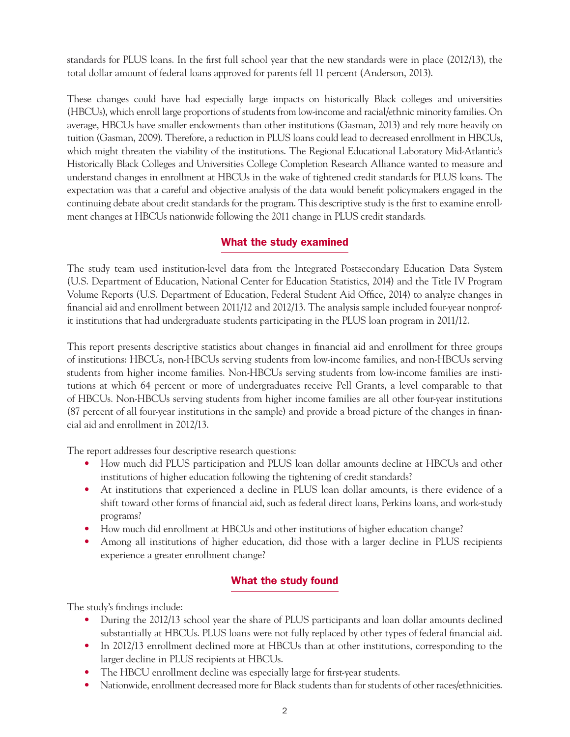standards for PLUS loans. In the first full school year that the new standards were in place (2012/13), the total dollar amount of federal loans approved for parents fell 11 percent (Anderson, 2013).

These changes could have had especially large impacts on historically Black colleges and universities (HBCUs), which enroll large proportions of students from low-income and racial/ethnic minority families. On average, HBCUs have smaller endowments than other institutions (Gasman, 2013) and rely more heavily on tuition (Gasman, 2009). Therefore, a reduction in PLUS loans could lead to decreased enrollment in HBCUs, which might threaten the viability of the institutions. The Regional Educational Laboratory Mid-Atlantic's Historically Black Colleges and Universities College Completion Research Alliance wanted to measure and understand changes in enrollment at HBCUs in the wake of tightened credit standards for PLUS loans. The expectation was that a careful and objective analysis of the data would benefit policymakers engaged in the continuing debate about credit standards for the program. This descriptive study is the first to examine enrollment changes at HBCUs nationwide following the 2011 change in PLUS credit standards.

# What the study examined

The study team used institution-level data from the Integrated Postsecondary Education Data System (U.S. Department of Education, National Center for Education Statistics, 2014) and the Title IV Program Volume Reports (U.S. Department of Education, Federal Student Aid Office, 2014) to analyze changes in financial aid and enrollment between 2011/12 and 2012/13. The analysis sample included four-year nonprofit institutions that had undergraduate students participating in the PLUS loan program in 2011/12.

This report presents descriptive statistics about changes in financial aid and enrollment for three groups of institutions: HBCUs, non-HBCUs serving students from low-income families, and non-HBCUs serving students from higher income families. Non-HBCUs serving students from low-income families are institutions at which 64 percent or more of undergraduates receive Pell Grants, a level comparable to that of HBCUs. Non-HBCUs serving students from higher income families are all other four-year institutions (87 percent of all four-year institutions in the sample) and provide a broad picture of the changes in financial aid and enrollment in 2012/13.

The report addresses four descriptive research questions:

- How much did PLUS participation and PLUS loan dollar amounts decline at HBCUs and other institutions of higher education following the tightening of credit standards?
- At institutions that experienced a decline in PLUS loan dollar amounts, is there evidence of a shift toward other forms of financial aid, such as federal direct loans, Perkins loans, and work-study programs?
- How much did enrollment at HBCUs and other institutions of higher education change?
- Among all institutions of higher education, did those with a larger decline in PLUS recipients experience a greater enrollment change?

# What the study found

The study's findings include:

- During the 2012/13 school year the share of PLUS participants and loan dollar amounts declined substantially at HBCUs. PLUS loans were not fully replaced by other types of federal financial aid.
- In 2012/13 enrollment declined more at HBCUs than at other institutions, corresponding to the larger decline in PLUS recipients at HBCUs.
- The HBCU enrollment decline was especially large for first-year students.
- Nationwide, enrollment decreased more for Black students than for students of other races/ethnicities.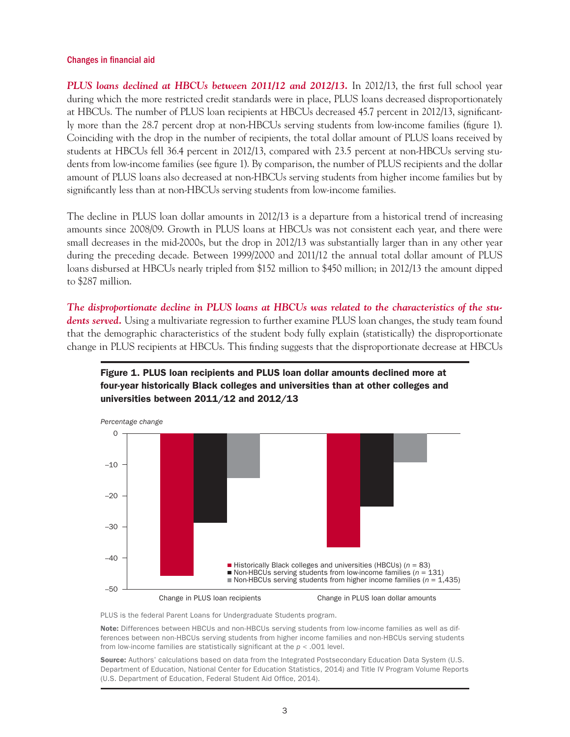#### Changes in financial aid

*PLUS loans declined at HBCUs between 2011/12 and 2012/13.* In 2012/13, the first full school year during which the more restricted credit standards were in place, PLUS loans decreased disproportionately at HBCUs. The number of PLUS loan recipients at HBCUs decreased 45.7 percent in 2012/13, significantly more than the 28.7 percent drop at non-HBCUs serving students from low-income families (figure 1). Coinciding with the drop in the number of recipients, the total dollar amount of PLUS loans received by students at HBCUs fell 36.4 percent in 2012/13, compared with 23.5 percent at non-HBCUs serving students from low-income families (see figure 1). By comparison, the number of PLUS recipients and the dollar amount of PLUS loans also decreased at non-HBCUs serving students from higher income families but by significantly less than at non-HBCUs serving students from low-income families.

The decline in PLUS loan dollar amounts in 2012/13 is a departure from a historical trend of increasing amounts since 2008/09. Growth in PLUS loans at HBCUs was not consistent each year, and there were small decreases in the mid-2000s, but the drop in 2012/13 was substantially larger than in any other year during the preceding decade. Between 1999/2000 and 2011/12 the annual total dollar amount of PLUS loans disbursed at HBCUs nearly tripled from \$152 million to \$450 million; in 2012/13 the amount dipped to \$287 million.

*The disproportionate decline in PLUS loans at HBCUs was related to the characteristics of the students served.* Using a multivariate regression to further examine PLUS loan changes, the study team found that the demographic characteristics of the student body fully explain (statistically) the disproportionate change in PLUS recipients at HBCUs. This finding suggests that the disproportionate decrease at HBCUs





PLUS is the federal Parent Loans for Undergraduate Students program.

Note: Differences between HBCUs and non-HBCUs serving students from low-income families as well as differences between non-HBCUs serving students from higher income families and non-HBCUs serving students from low-income families are statistically significant at the *p* < .001 level.

Source: Authors' calculations based on data from the Integrated Postsecondary Education Data System (U.S. Department of Education, National Center for Education Statistics, 2014) and Title IV Program Volume Reports (U.S. Department of Education, Federal Student Aid Office, 2014).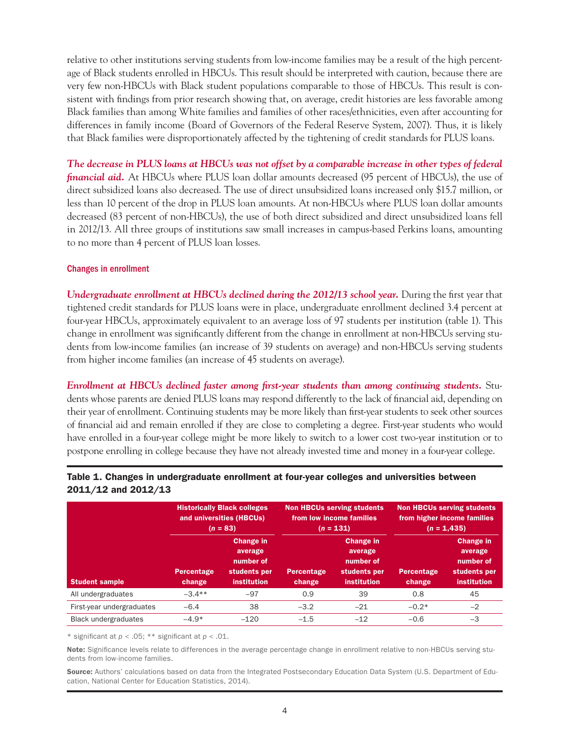relative to other institutions serving students from low-income families may be a result of the high percentage of Black students enrolled in HBCUs. This result should be interpreted with caution, because there are very few non-HBCUs with Black student populations comparable to those of HBCUs. This result is consistent with findings from prior research showing that, on average, credit histories are less favorable among Black families than among White families and families of other races/ethnicities, even after accounting for differences in family income (Board of Governors of the Federal Reserve System, 2007). Thus, it is likely that Black families were disproportionately affected by the tightening of credit standards for PLUS loans.

*The decrease in PLUS loans at HBCUs was not offset by a comparable increase in other types of federal financial aid.* At HBCUs where PLUS loan dollar amounts decreased (95 percent of HBCUs), the use of direct subsidized loans also decreased. The use of direct unsubsidized loans increased only \$15.7 million, or less than 10 percent of the drop in PLUS loan amounts. At non-HBCUs where PLUS loan dollar amounts decreased (83 percent of non-HBCUs), the use of both direct subsidized and direct unsubsidized loans fell in 2012/13. All three groups of institutions saw small increases in campus-based Perkins loans, amounting to no more than 4 percent of PLUS loan losses.

### Changes in enrollment

*Undergraduate enrollment at HBCUs declined during the 2012/13 school year.* During the first year that tightened credit standards for PLUS loans were in place, undergraduate enrollment declined 3.4 percent at four-year HBCUs, approximately equivalent to an average loss of 97 students per institution (table 1). This change in enrollment was significantly different from the change in enrollment at non-HBCUs serving students from low-income families (an increase of 39 students on average) and non-HBCUs serving students from higher income families (an increase of 45 students on average).

*Enrollment at HBCUs declined faster among first-year students than among continuing students.* **Stu**dents whose parents are denied PLUS loans may respond differently to the lack of financial aid, depending on their year of enrollment. Continuing students may be more likely than first-year students to seek other sources of financial aid and remain enrolled if they are close to completing a degree. First-year students who would have enrolled in a four-year college might be more likely to switch to a lower cost two-year institution or to postpone enrolling in college because they have not already invested time and money in a four-year college.

|                             | <b>Historically Black colleges</b><br>and universities (HBCUs)<br>$(n = 83)$ |                                                                                | <b>Non HBCUs serving students</b><br>from low income families<br>$(n = 131)$ |                                                                                | <b>Non HBCUs serving students</b><br>from higher income families<br>$(n = 1,435)$ |                                                                         |
|-----------------------------|------------------------------------------------------------------------------|--------------------------------------------------------------------------------|------------------------------------------------------------------------------|--------------------------------------------------------------------------------|-----------------------------------------------------------------------------------|-------------------------------------------------------------------------|
| <b>Student sample</b>       | Percentage<br>change                                                         | <b>Change in</b><br>average<br>number of<br>students per<br><b>institution</b> | Percentage<br>change                                                         | <b>Change in</b><br>average<br>number of<br>students per<br><b>institution</b> | Percentage<br>change                                                              | <b>Change in</b><br>average<br>number of<br>students per<br>institution |
| All undergraduates          | $-3.4**$                                                                     | $-97$                                                                          | 0.9                                                                          | 39                                                                             | 0.8                                                                               | 45                                                                      |
| First-year undergraduates   | $-6.4$                                                                       | 38                                                                             | $-3.2$                                                                       | $-21$                                                                          | $-0.2*$                                                                           | $-2$                                                                    |
| <b>Black undergraduates</b> | $-4.9*$                                                                      | $-120$                                                                         | $-1.5$                                                                       | $-12$                                                                          | $-0.6$                                                                            | $-3$                                                                    |

## Table 1. Changes in undergraduate enrollment at four-year colleges and universities between 2011/12 and 2012/13

\* significant at *p* < .05; \*\* significant at *p* < .01.

Note: Significance levels relate to differences in the average percentage change in enrollment relative to non-HBCUs serving students from low-income families.

Source: Authors' calculations based on data from the Integrated Postsecondary Education Data System (U.S. Department of Education, National Center for Education Statistics, 2014).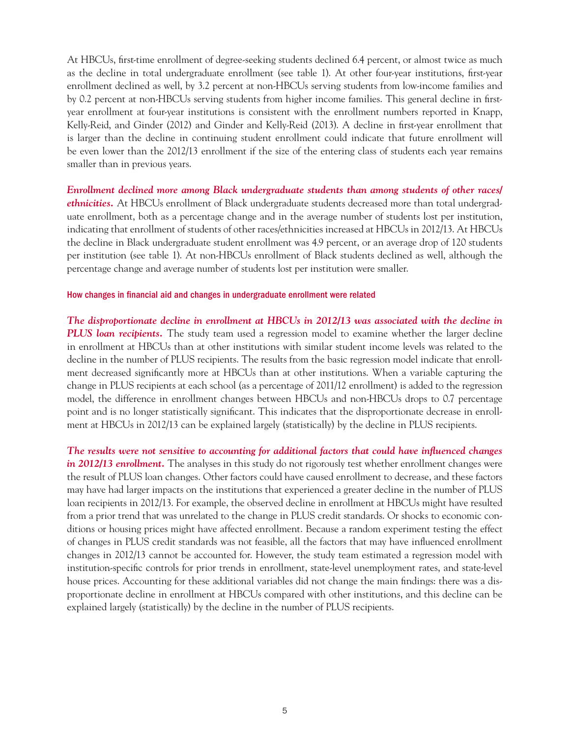At HBCUs, first-time enrollment of degree-seeking students declined 6.4 percent, or almost twice as much as the decline in total undergraduate enrollment (see table 1). At other four-year institutions, first-year enrollment declined as well, by 3.2 percent at non-HBCUs serving students from low-income families and by 0.2 percent at non-HBCUs serving students from higher income families. This general decline in firstyear enrollment at four-year institutions is consistent with the enrollment numbers reported in Knapp, Kelly-Reid, and Ginder (2012) and Ginder and Kelly-Reid (2013). A decline in first-year enrollment that is larger than the decline in continuing student enrollment could indicate that future enrollment will be even lower than the 2012/13 enrollment if the size of the entering class of students each year remains smaller than in previous years.

*Enrollment declined more among Black undergraduate students than among students of other races/ ethnicities.* At HBCUs enrollment of Black undergraduate students decreased more than total undergraduate enrollment, both as a percentage change and in the average number of students lost per institution, indicating that enrollment of students of other races/ethnicities increased at HBCUs in 2012/13. At HBCUs the decline in Black undergraduate student enrollment was 4.9 percent, or an average drop of 120 students per institution (see table 1). At non-HBCUs enrollment of Black students declined as well, although the percentage change and average number of students lost per institution were smaller.

#### How changes in financial aid and changes in undergraduate enrollment were related

*The disproportionate decline in enrollment at HBCUs in 2012/13 was associated with the decline in PLUS loan recipients.* The study team used a regression model to examine whether the larger decline in enrollment at HBCUs than at other institutions with similar student income levels was related to the decline in the number of PLUS recipients. The results from the basic regression model indicate that enrollment decreased significantly more at HBCUs than at other institutions. When a variable capturing the change in PLUS recipients at each school (as a percentage of 2011/12 enrollment) is added to the regression model, the difference in enrollment changes between HBCUs and non-HBCUs drops to 0.7 percentage point and is no longer statistically significant. This indicates that the disproportionate decrease in enrollment at HBCUs in 2012/13 can be explained largely (statistically) by the decline in PLUS recipients.

*The results were not sensitive to accounting for additional factors that could have influenced changes in 2012/13 enrollment.* The analyses in this study do not rigorously test whether enrollment changes were the result of PLUS loan changes. Other factors could have caused enrollment to decrease, and these factors may have had larger impacts on the institutions that experienced a greater decline in the number of PLUS loan recipients in 2012/13. For example, the observed decline in enrollment at HBCUs might have resulted from a prior trend that was unrelated to the change in PLUS credit standards. Or shocks to economic conditions or housing prices might have affected enrollment. Because a random experiment testing the effect of changes in PLUS credit standards was not feasible, all the factors that may have influenced enrollment changes in 2012/13 cannot be accounted for. However, the study team estimated a regression model with institution-specific controls for prior trends in enrollment, state-level unemployment rates, and state-level house prices. Accounting for these additional variables did not change the main findings: there was a disproportionate decline in enrollment at HBCUs compared with other institutions, and this decline can be explained largely (statistically) by the decline in the number of PLUS recipients.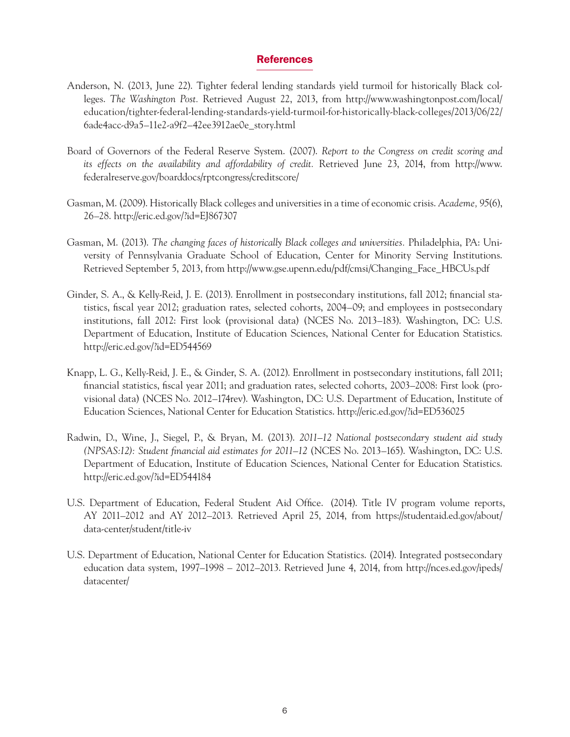## References

- Anderson, N. (2013, June 22). Tighter federal lending standards yield turmoil for historically Black colleges. *The Washington Post.* Retrieved August 22, 2013, from [http://www.washingtonpost.com/local/](http://www.washingtonpost.com/local/education/tighter-federal-lending-standards-yield-turmoil-for-historically-black-colleges/2013/06/22/6ade4acc-d9a5-11e2-a9f2-42ee3912ae0e_story.html) [education/tighter-federal-lending-standards-yield-turmoil-for-historically-black-colleges/2013/06/22/](http://www.washingtonpost.com/local/education/tighter-federal-lending-standards-yield-turmoil-for-historically-black-colleges/2013/06/22/6ade4acc-d9a5-11e2-a9f2-42ee3912ae0e_story.html) [6ade4acc-d9a5–11e2-a9f2–42ee3912ae0e\\_story.html](http://www.washingtonpost.com/local/education/tighter-federal-lending-standards-yield-turmoil-for-historically-black-colleges/2013/06/22/6ade4acc-d9a5-11e2-a9f2-42ee3912ae0e_story.html)
- Board of Governors of the Federal Reserve System. (2007). *Report to the Congress on credit scoring and its effects on the availability and affordability of credit.* Retrieved June 23, 2014, from [http://www.](http://www.federalreserve.gov/boarddocs/rptcongress/creditscore/) [federalreserve.gov/boarddocs/rptcongress/creditscore/](http://www.federalreserve.gov/boarddocs/rptcongress/creditscore/)
- Gasman, M. (2009). Historically Black colleges and universities in a time of economic crisis. *Academe, 95*(6), 26–28.<http://eric.ed.gov/?id=EJ867307>
- Gasman, M. (2013). *The changing faces of historically Black colleges and universities.* Philadelphia, PA: University of Pennsylvania Graduate School of Education, Center for Minority Serving Institutions. Retrieved September 5, 2013, from [http://www.gse.upenn.edu/pdf/cmsi/Changing\\_Face\\_HBCUs.pdf](http://www.gse.upenn.edu/pdf/cmsi/Changing_Face_HBCUs.pdf)
- Ginder, S. A., & Kelly-Reid, J. E. (2013). Enrollment in postsecondary institutions, fall 2012; financial statistics, fiscal year 2012; graduation rates, selected cohorts, 2004–09; and employees in postsecondary institutions, fall 2012: First look (provisional data) (NCES No. 2013–183). Washington, DC: U.S. Department of Education, Institute of Education Sciences, National Center for Education Statistics. <http://eric.ed.gov/?id=ED544569>
- Knapp, L. G., Kelly-Reid, J. E., & Ginder, S. A. (2012). Enrollment in postsecondary institutions, fall 2011; financial statistics, fiscal year 2011; and graduation rates, selected cohorts, 2003–2008: First look (provisional data) (NCES No. 2012–174rev). Washington, DC: U.S. Department of Education, Institute of Education Sciences, National Center for Education Statistics.<http://eric.ed.gov/?id=ED536025>
- Radwin, D., Wine, J., Siegel, P., & Bryan, M. (2013). *2011–12 National postsecondary student aid study (NPSAS:12): Student financial aid estimates for 2011–12* (NCES No. 2013–165). Washington, DC: U.S. Department of Education, Institute of Education Sciences, National Center for Education Statistics. <http://eric.ed.gov/?id=ED544184>
- U.S. Department of Education, Federal Student Aid Office. (2014). Title IV program volume reports, AY 2011–2012 and AY 2012–2013. Retrieved April 25, 2014, from [https://studentaid.ed.gov/about/](https://studentaid.ed.gov/about/data-center/student/title-iv) [data-center/student/title-iv](https://studentaid.ed.gov/about/data-center/student/title-iv)
- U.S. Department of Education, National Center for Education Statistics. (2014). Integrated postsecondary education data system, 1997–1998 – 2012–2013. Retrieved June 4, 2014, from [http://nces.ed.gov/ipeds/](http://nces.ed.gov/ipeds/datacenter/) [datacenter/](http://nces.ed.gov/ipeds/datacenter/)